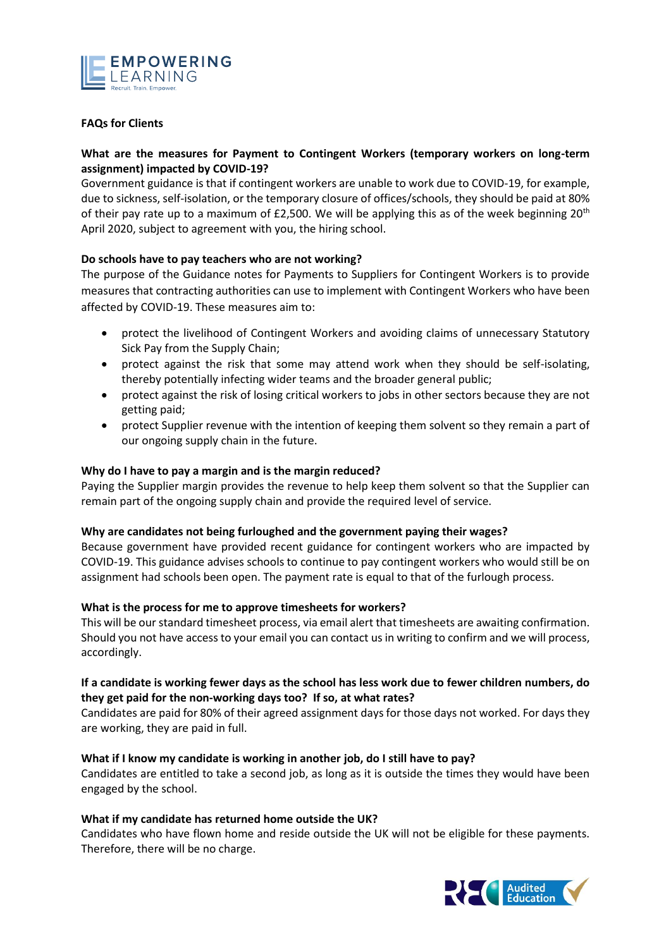

## **FAQs for Clients**

# **What are the measures for Payment to Contingent Workers (temporary workers on long-term assignment) impacted by COVID-19?**

Government guidance is that if contingent workers are unable to work due to COVID-19, for example, due to sickness, self-isolation, or the temporary closure of offices/schools, they should be paid at 80% of their pay rate up to a maximum of £2,500. We will be applying this as of the week beginning  $20<sup>th</sup>$ April 2020, subject to agreement with you, the hiring school.

# **Do schools have to pay teachers who are not working?**

The purpose of the Guidance notes for Payments to Suppliers for Contingent Workers is to provide measures that contracting authorities can use to implement with Contingent Workers who have been affected by COVID-19. These measures aim to:

- protect the livelihood of Contingent Workers and avoiding claims of unnecessary Statutory Sick Pay from the Supply Chain;
- protect against the risk that some may attend work when they should be self-isolating, thereby potentially infecting wider teams and the broader general public;
- protect against the risk of losing critical workers to jobs in other sectors because they are not getting paid;
- protect Supplier revenue with the intention of keeping them solvent so they remain a part of our ongoing supply chain in the future.

## **Why do I have to pay a margin and is the margin reduced?**

Paying the Supplier margin provides the revenue to help keep them solvent so that the Supplier can remain part of the ongoing supply chain and provide the required level of service.

## **Why are candidates not being furloughed and the government paying their wages?**

Because government have provided recent guidance for contingent workers who are impacted by COVID-19. This guidance advises schools to continue to pay contingent workers who would still be on assignment had schools been open. The payment rate is equal to that of the furlough process.

## **What is the process for me to approve timesheets for workers?**

This will be our standard timesheet process, via email alert that timesheets are awaiting confirmation. Should you not have access to your email you can contact us in writing to confirm and we will process, accordingly.

## **If a candidate is working fewer days as the school has less work due to fewer children numbers, do they get paid for the non-working days too? If so, at what rates?**

Candidates are paid for 80% of their agreed assignment days for those days not worked. For days they are working, they are paid in full.

## **What if I know my candidate is working in another job, do I still have to pay?**

Candidates are entitled to take a second job, as long as it is outside the times they would have been engaged by the school.

## **What if my candidate has returned home outside the UK?**

Candidates who have flown home and reside outside the UK will not be eligible for these payments. Therefore, there will be no charge.

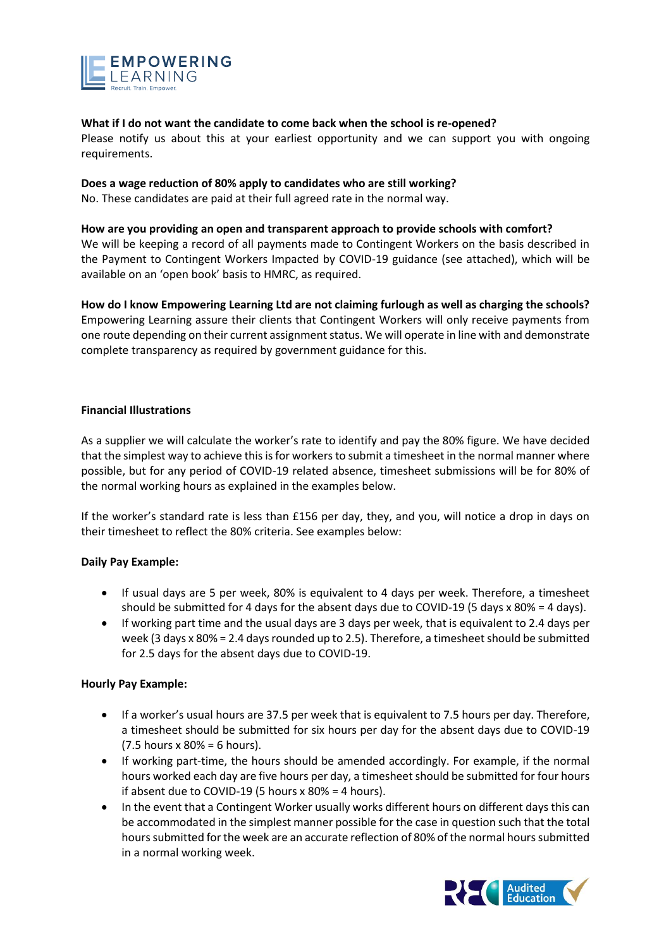

#### **What if I do not want the candidate to come back when the school is re-opened?**

Please notify us about this at your earliest opportunity and we can support you with ongoing requirements.

#### **Does a wage reduction of 80% apply to candidates who are still working?**

No. These candidates are paid at their full agreed rate in the normal way.

#### **How are you providing an open and transparent approach to provide schools with comfort?**

We will be keeping a record of all payments made to Contingent Workers on the basis described in the Payment to Contingent Workers Impacted by COVID-19 guidance (see attached), which will be available on an 'open book' basis to HMRC, as required.

## **How do I know Empowering Learning Ltd are not claiming furlough as well as charging the schools?**

Empowering Learning assure their clients that Contingent Workers will only receive payments from one route depending on their current assignment status. We will operate in line with and demonstrate complete transparency as required by government guidance for this.

## **Financial Illustrations**

As a supplier we will calculate the worker's rate to identify and pay the 80% figure. We have decided that the simplest way to achieve this is for workers to submit a timesheet in the normal manner where possible, but for any period of COVID-19 related absence, timesheet submissions will be for 80% of the normal working hours as explained in the examples below.

If the worker's standard rate is less than £156 per day, they, and you, will notice a drop in days on their timesheet to reflect the 80% criteria. See examples below:

## **Daily Pay Example:**

- If usual days are 5 per week, 80% is equivalent to 4 days per week. Therefore, a timesheet should be submitted for 4 days for the absent days due to COVID-19 (5 days x 80% = 4 days).
- If working part time and the usual days are 3 days per week, that is equivalent to 2.4 days per week (3 days x 80% = 2.4 days rounded up to 2.5). Therefore, a timesheet should be submitted for 2.5 days for the absent days due to COVID-19.

## **Hourly Pay Example:**

- If a worker's usual hours are 37.5 per week that is equivalent to 7.5 hours per day. Therefore, a timesheet should be submitted for six hours per day for the absent days due to COVID-19 (7.5 hours x 80% = 6 hours).
- If working part-time, the hours should be amended accordingly. For example, if the normal hours worked each day are five hours per day, a timesheet should be submitted for four hours if absent due to COVID-19 (5 hours x 80% = 4 hours).
- In the event that a Contingent Worker usually works different hours on different days this can be accommodated in the simplest manner possible for the case in question such that the total hours submitted for the week are an accurate reflection of 80% of the normal hours submitted in a normal working week.